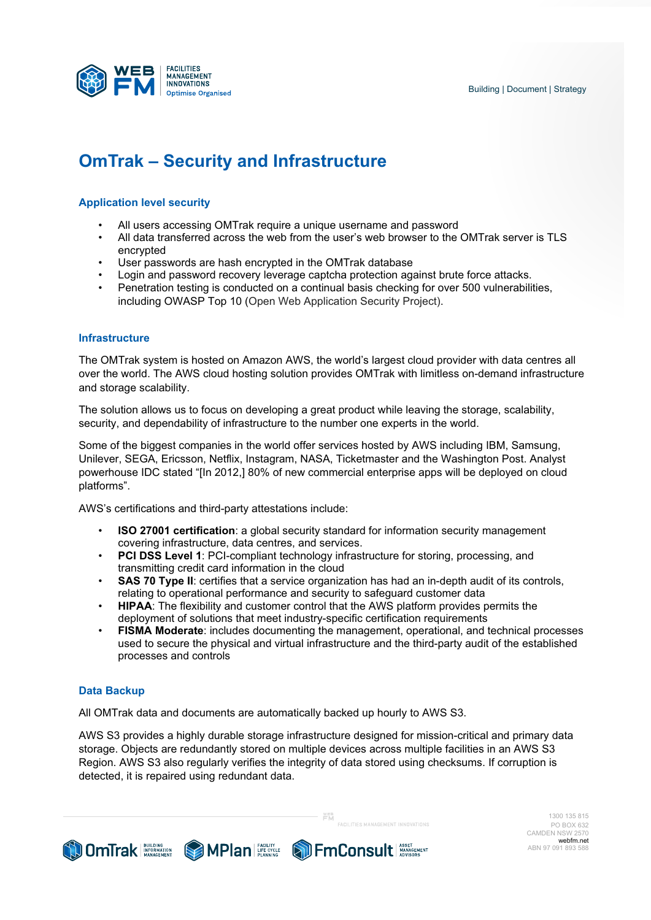

# **OmTrak – Security and Infrastructure**

# **Application level security**

- All users accessing OMTrak require a unique username and password
- All data transferred across the web from the user's web browser to the OMTrak server is TLS encrypted
- User passwords are hash encrypted in the OMTrak database
- Login and password recovery leverage captcha protection against brute force attacks.
- Penetration testing is conducted on a continual basis checking for over 500 vulnerabilities, including OWASP Top 10 (Open Web Application Security Project).

#### **Infrastructure**

The OMTrak system is hosted on Amazon AWS, the world's largest cloud provider with data centres all over the world. The AWS cloud hosting solution provides OMTrak with limitless on-demand infrastructure and storage scalability.

The solution allows us to focus on developing a great product while leaving the storage, scalability, security, and dependability of infrastructure to the number one experts in the world.

Some of the biggest companies in the world offer services hosted by AWS including IBM, Samsung, Unilever, SEGA, Ericsson, Netflix, Instagram, NASA, Ticketmaster and the Washington Post. Analyst powerhouse IDC stated "[In 2012,] 80% of new commercial enterprise apps will be deployed on cloud platforms".

AWS's certifications and third-party attestations include:

- **ISO 27001 certification**: a global security standard for information security management covering infrastructure, data centres, and services.
- **PCI DSS Level 1: PCI-compliant technology infrastructure for storing, processing, and** transmitting credit card information in the cloud
- **SAS 70 Type II:** certifies that a service organization has had an in-depth audit of its controls, relating to operational performance and security to safeguard customer data
- **HIPAA**: The flexibility and customer control that the AWS platform provides permits the deployment of solutions that meet industry-specific certification requirements
- **FISMA Moderate**: includes documenting the management, operational, and technical processes used to secure the physical and virtual infrastructure and the third-party audit of the established processes and controls

## **Data Backup**

All OMTrak data and documents are automatically backed up hourly to AWS S3.

**COMITAL EXPRESS OF PLAN AND AVENUE AND FMCONSULT AND SETTLE AND THE CONSULT AND SETTLE AND THE CONSULT AND SCRIPTION OF THE CONSULT AND SCRIPTION OF THE CONSULT OF THE CONSULT AND SCRIPTION OF THE CONSULT OF THE CONSULT O** 

AWS S3 provides a highly durable storage infrastructure designed for mission-critical and primary data storage. Objects are redundantly stored on multiple devices across multiple facilities in an AWS S3 Region. AWS S3 also regularly verifies the integrity of data stored using checksums. If corruption is detected, it is repaired using redundant data.

™EB<br>EM

**CAPILITICO MANAGEMENT INNOVATIONS** 

 1300 135 815 PO BOX 632 CAMDEN NSW 2570 webfm.net ABN 97 091 893 588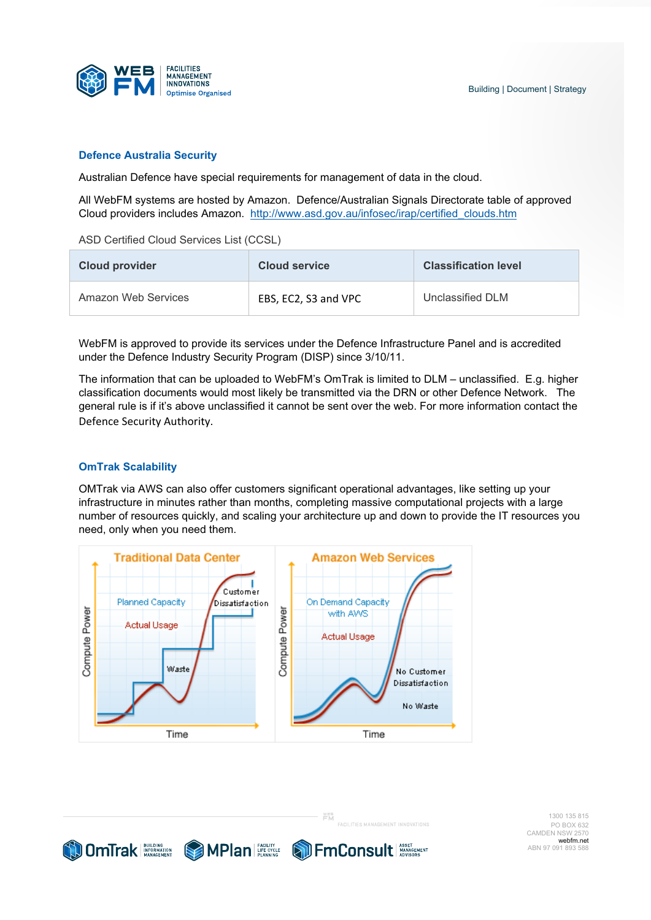## **Defence Australia Security**

Australian Defence have special requirements for management of data in the cloud.

All WebFM systems are hosted by Amazon. Defence/Australian Signals Directorate table of approved Cloud providers includes Amazon. http://www.asd.gov.au/infosec/irap/certified\_clouds.htm

ASD Certified Cloud Services List (CCSL)

| <b>Cloud provider</b> | <b>Cloud service</b> | <b>Classification level</b> |
|-----------------------|----------------------|-----------------------------|
| Amazon Web Services   | EBS, EC2, S3 and VPC | Unclassified DLM            |

WebFM is approved to provide its services under the Defence Infrastructure Panel and is accredited under the Defence Industry Security Program (DISP) since 3/10/11.

The information that can be uploaded to WebFM's OmTrak is limited to DLM – unclassified. E.g. higher classification documents would most likely be transmitted via the DRN or other Defence Network. The general rule is if it's above unclassified it cannot be sent over the web. For more information contact the Defence Security Authority.

## **OmTrak Scalability**

OMTrak via AWS can also offer customers significant operational advantages, like setting up your infrastructure in minutes rather than months, completing massive computational projects with a large number of resources quickly, and scaling your architecture up and down to provide the IT resources you need, only when you need them.

**YEB** 



**COMTrak** De MPlan France De France De La Consult de La Consult de La Consult de La Consult de La Consult de La Consult de La Consult de La Consult de La Consult de La Consult de La Consult de La Consult de La Consult de L

 1300 135 815 PO BOX 632 CAMDEN NSW 2570 webfm.net ABN 97 091 893 588